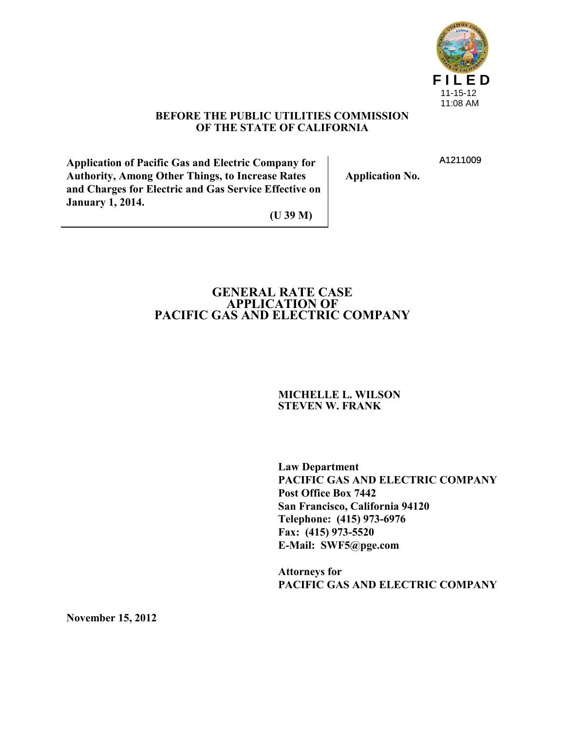

A1211009

#### **BEFORE THE PUBLIC UTILITIES COMMISSION OF THE STATE OF CALIFORNIA**

**Application of Pacific Gas and Electric Company for Authority, Among Other Things, to Increase Rates and Charges for Electric and Gas Service Effective on January 1, 2014.**

**Application No.**

**(U 39 M)**

### **GENERAL RATE CASE APPLICATION OF PACIFIC GAS AND ELECTRIC COMPANY**

#### **MICHELLE L. WILSON STEVEN W. FRANK**

**Law Department PACIFIC GAS AND ELECTRIC COMPANY Post Office Box 7442 San Francisco, California 94120 Telephone: (415) 973-6976 Fax: (415) 973-5520 E-Mail: SWF5@pge.com**

**Attorneys for PACIFIC GAS AND ELECTRIC COMPANY**

**November 15, 2012**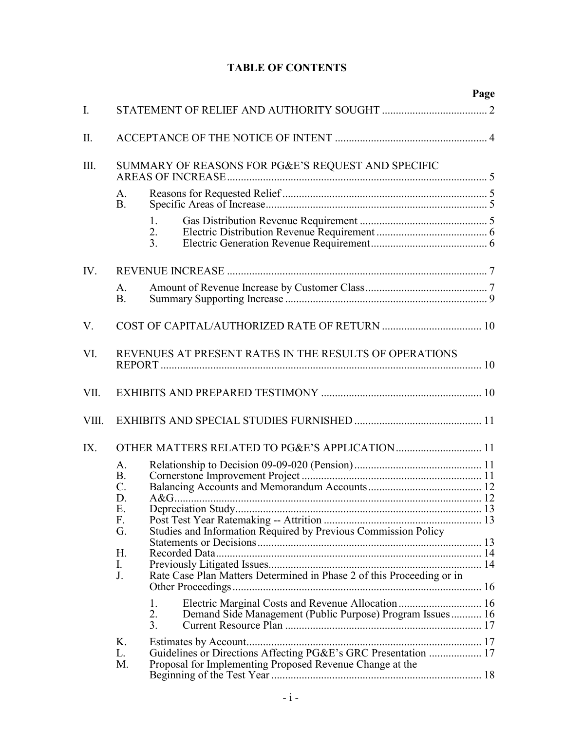# **TABLE OF CONTENTS**

|             |                                                      |                                                                                                                                         | Page |
|-------------|------------------------------------------------------|-----------------------------------------------------------------------------------------------------------------------------------------|------|
| $I_{\cdot}$ |                                                      |                                                                                                                                         |      |
| Π.          |                                                      |                                                                                                                                         |      |
| Ш.          | $A_{\cdot}$<br><b>B.</b>                             | SUMMARY OF REASONS FOR PG&E'S REQUEST AND SPECIFIC                                                                                      |      |
|             |                                                      | 1.<br>2.<br>3 <sub>1</sub>                                                                                                              |      |
| IV.         |                                                      |                                                                                                                                         |      |
|             | A.<br><b>B.</b>                                      |                                                                                                                                         |      |
| V.          |                                                      |                                                                                                                                         |      |
| VI.         |                                                      | REVENUES AT PRESENT RATES IN THE RESULTS OF OPERATIONS                                                                                  |      |
| VII.        |                                                      |                                                                                                                                         |      |
| VIII.       |                                                      |                                                                                                                                         |      |
| $IX_{-}$    |                                                      | OTHER MATTERS RELATED TO PG&E'S APPLICATION 11                                                                                          |      |
|             | A.<br><b>B.</b><br>$\mathcal{C}$ .<br>D.<br>Ε.<br>F. | A&G                                                                                                                                     |      |
|             | G.<br>H.<br>I.<br>J.                                 | Studies and Information Required by Previous Commission Policy<br>Rate Case Plan Matters Determined in Phase 2 of this Proceeding or in |      |
|             |                                                      | Electric Marginal Costs and Revenue Allocation  16<br>1.<br>2.<br>Demand Side Management (Public Purpose) Program Issues 16<br>3.       |      |
|             | K.<br>L.<br>M.                                       | Guidelines or Directions Affecting PG&E's GRC Presentation  17<br>Proposal for Implementing Proposed Revenue Change at the              |      |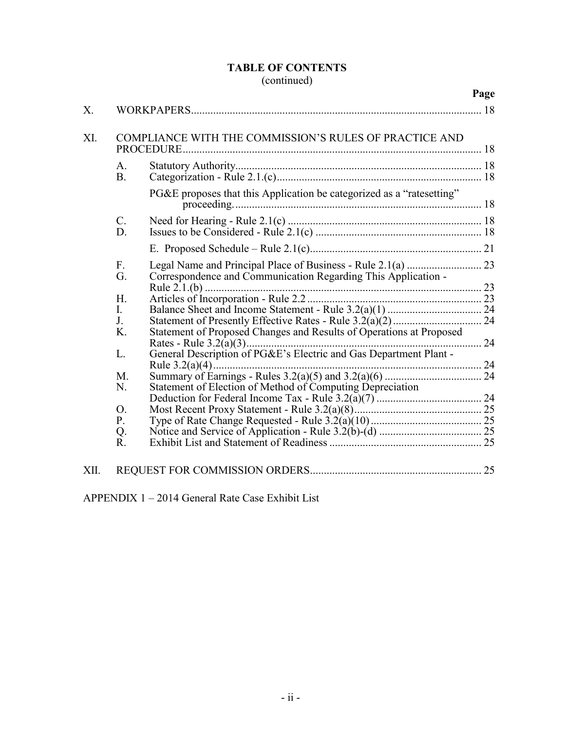### **TABLE OF CONTENTS** (continued)

|      |                                  |                                                                       | Page |
|------|----------------------------------|-----------------------------------------------------------------------|------|
| Χ.   |                                  |                                                                       |      |
| XI.  |                                  | COMPLIANCE WITH THE COMMISSION'S RULES OF PRACTICE AND                |      |
|      | A <sub>1</sub><br>B <sub>1</sub> |                                                                       |      |
|      |                                  | PG&E proposes that this Application be categorized as a "ratesetting" |      |
|      | $\mathcal{C}$ .<br>D.            |                                                                       |      |
|      |                                  |                                                                       |      |
|      | F.<br>G.                         | Correspondence and Communication Regarding This Application -         |      |
|      | H.                               |                                                                       |      |
|      | L                                |                                                                       |      |
|      | J.<br>K.                         | Statement of Proposed Changes and Results of Operations at Proposed   |      |
|      | L.                               | General Description of PG&E's Electric and Gas Department Plant -     |      |
|      | M.                               |                                                                       |      |
|      | N.                               |                                                                       |      |
|      | $\overline{O}$ .                 |                                                                       |      |
|      | P.                               |                                                                       |      |
|      | Q.                               |                                                                       |      |
|      | R.                               |                                                                       |      |
| XII. |                                  |                                                                       |      |

APPENDIX 1 – 2014 General Rate Case Exhibit List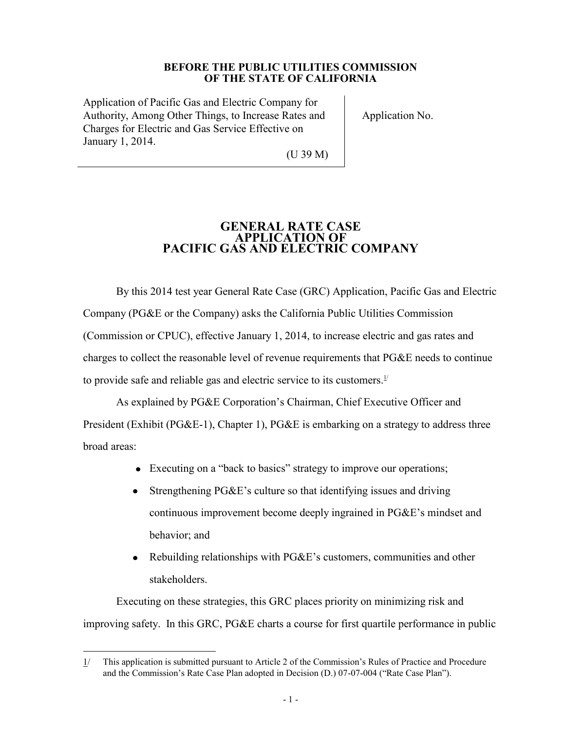#### **BEFORE THE PUBLIC UTILITIES COMMISSION OF THE STATE OF CALIFORNIA**

Application of Pacific Gas and Electric Company for Authority, Among Other Things, to Increase Rates and Charges for Electric and Gas Service Effective on January 1, 2014.

Application No.

(U 39 M)

### **GENERAL RATE CASE APPLICATION OF PACIFIC GAS AND ELECTRIC COMPANY**

By this 2014 test year General Rate Case (GRC) Application, Pacific Gas and Electric Company (PG&E or the Company) asks the California Public Utilities Commission (Commission or CPUC), effective January 1, 2014, to increase electric and gas rates and charges to collect the reasonable level of revenue requirements that PG&E needs to continue to provide safe and reliable gas and electric service to its customers.<sup>1/</sup>

As explained by PG&E Corporation's Chairman, Chief Executive Officer and President (Exhibit (PG&E-1), Chapter 1), PG&E is embarking on a strategy to address three broad areas:

- Executing on a "back to basics" strategy to improve our operations;
- $\bullet$ Strengthening PG&E's culture so that identifying issues and driving continuous improvement become deeply ingrained in PG&E's mindset and behavior; and
- Rebuilding relationships with PG&E's customers, communities and other stakeholders.

Executing on these strategies, this GRC places priority on minimizing risk and improving safety. In this GRC, PG&E charts a course for first quartile performance in public

 $\overline{a}$ 1/ This application is submitted pursuant to Article 2 of the Commission's Rules of Practice and Procedure and the Commission's Rate Case Plan adopted in Decision (D.) 07-07-004 ("Rate Case Plan").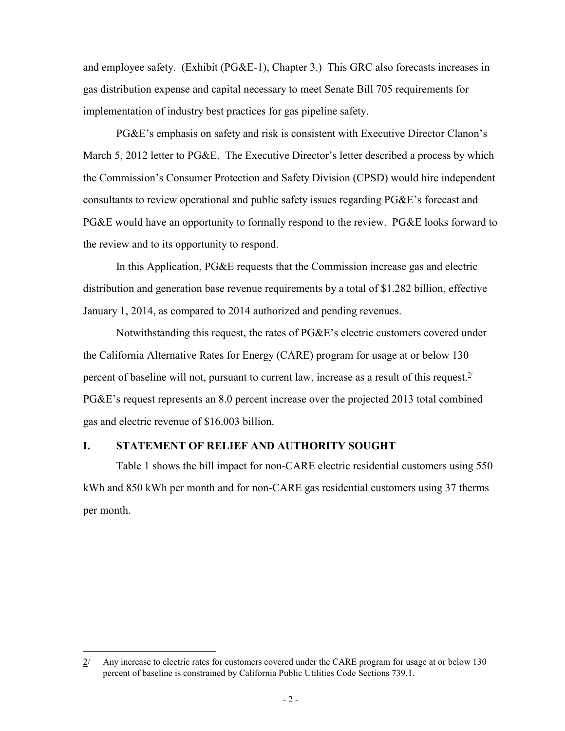and employee safety. (Exhibit (PG&E-1), Chapter 3.) This GRC also forecasts increases in gas distribution expense and capital necessary to meet Senate Bill 705 requirements for implementation of industry best practices for gas pipeline safety.

PG&E's emphasis on safety and risk is consistent with Executive Director Clanon's March 5, 2012 letter to PG&E. The Executive Director's letter described a process by which the Commission's Consumer Protection and Safety Division (CPSD) would hire independent consultants to review operational and public safety issues regarding PG&E's forecast and PG&E would have an opportunity to formally respond to the review. PG&E looks forward to the review and to its opportunity to respond.

In this Application, PG&E requests that the Commission increase gas and electric distribution and generation base revenue requirements by a total of \$1.282 billion, effective January 1, 2014, as compared to 2014 authorized and pending revenues.

Notwithstanding this request, the rates of PG&E's electric customers covered under the California Alternative Rates for Energy (CARE) program for usage at or below 130 percent of baseline will not, pursuant to current law, increase as a result of this request.<sup>2/</sup> PG&E's request represents an 8.0 percent increase over the projected 2013 total combined gas and electric revenue of \$16.003 billion.

### **I. STATEMENT OF RELIEF AND AUTHORITY SOUGHT**

 $\overline{a}$ 

Table 1 shows the bill impact for non-CARE electric residential customers using 550 kWh and 850 kWh per month and for non-CARE gas residential customers using 37 therms per month.

<sup>2/</sup> Any increase to electric rates for customers covered under the CARE program for usage at or below 130 percent of baseline is constrained by California Public Utilities Code Sections 739.1.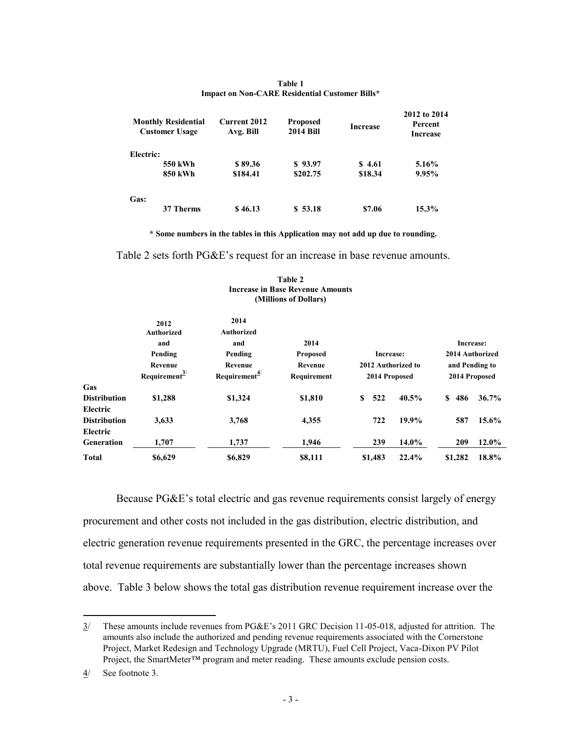|           | <b>Monthly Residential</b><br><b>Customer Usage</b> | <b>Current 2012</b><br>Avg. Bill | <b>Proposed</b><br><b>2014 Bill</b> | <b>Increase</b> | 2012 to 2014<br>Percent<br><b>Increase</b> |
|-----------|-----------------------------------------------------|----------------------------------|-------------------------------------|-----------------|--------------------------------------------|
| Electric: |                                                     |                                  |                                     |                 |                                            |
|           | 550 kWh                                             | \$89.36                          | \$93.97                             | \$4.61          | 5.16%                                      |
|           | 850 kWh                                             | \$184.41                         | \$202.75                            | \$18.34         | 9.95%                                      |
| Gas:      |                                                     |                                  |                                     |                 |                                            |
|           | 37 Therms                                           | \$46.13                          | \$53.18                             | \$7.06          | 15.3%                                      |

#### **Table 1 Impact on Non-CARE Residential Customer Bills\***

**\* Some numbers in the tables in this Application may not add up due to rounding.**

Table 2 sets forth PG&E's request for an increase in base revenue amounts.

|                     | 2012<br><b>Authorized</b><br>and | 2014<br><b>Authorized</b><br>and | 2014            |                    | Increase:          |
|---------------------|----------------------------------|----------------------------------|-----------------|--------------------|--------------------|
|                     | Pending                          | Pending                          | <b>Proposed</b> | Increase:          | 2014 Authorized    |
|                     | Revenue                          | Revenue                          | Revenue         | 2012 Authorized to | and Pending to     |
|                     | Requirement $\frac{3}{2}$        | Requirement $\frac{4}{3}$        | Requirement     | 2014 Proposed      | 2014 Proposed      |
| Gas                 |                                  |                                  |                 |                    |                    |
| <b>Distribution</b> | \$1,288                          | \$1,324                          | \$1,810         | 40.5%<br>S<br>522  | 36.7%<br>486<br>S. |
| Electric            |                                  |                                  |                 |                    |                    |
| <b>Distribution</b> | 3,633                            | 3,768                            | 4,355           | 19.9%<br>722       | $15.6\%$<br>587    |
| Electric            |                                  |                                  |                 |                    |                    |
| <b>Generation</b>   | 1,707                            | 1,737                            | 1,946           | $14.0\%$<br>239    | $12.0\%$<br>209    |
| <b>Total</b>        | \$6,629                          | \$6,829                          | \$8,111         | 22.4%<br>\$1,483   | 18.8%<br>\$1,282   |

#### **Table 2 Increase in Base Revenue Amounts (Millions of Dollars)**

Because PG&E's total electric and gas revenue requirements consist largely of energy procurement and other costs not included in the gas distribution, electric distribution, and electric generation revenue requirements presented in the GRC, the percentage increases over total revenue requirements are substantially lower than the percentage increases shown above. Table 3 below shows the total gas distribution revenue requirement increase over the

<sup>3/</sup> These amounts include revenues from PG&E's 2011 GRC Decision 11-05-018, adjusted for attrition. The amounts also include the authorized and pending revenue requirements associated with the Cornerstone Project, Market Redesign and Technology Upgrade (MRTU), Fuel Cell Project, Vaca-Dixon PV Pilot Project, the SmartMeter™ program and meter reading. These amounts exclude pension costs.

<sup>4/</sup> See footnote 3.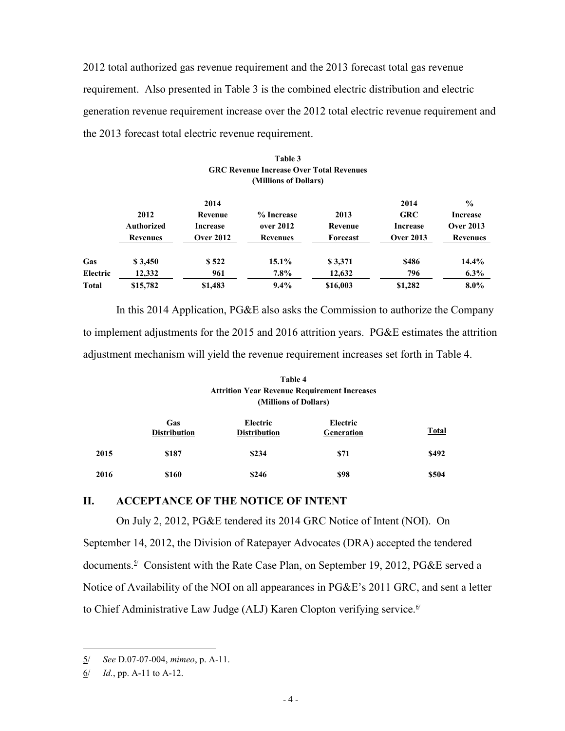2012 total authorized gas revenue requirement and the 2013 forecast total gas revenue requirement. Also presented in Table 3 is the combined electric distribution and electric generation revenue requirement increase over the 2012 total electric revenue requirement and the 2013 forecast total electric revenue requirement.

|              |                                              |                                                        | (Millions of Dollars)                      |                             |                                                           |                                                                  |
|--------------|----------------------------------------------|--------------------------------------------------------|--------------------------------------------|-----------------------------|-----------------------------------------------------------|------------------------------------------------------------------|
|              | 2012<br><b>Authorized</b><br><b>Revenues</b> | 2014<br>Revenue<br><b>Increase</b><br><b>Over 2012</b> | % Increase<br>over 2012<br><b>Revenues</b> | 2013<br>Revenue<br>Forecast | 2014<br><b>GRC</b><br><b>Increase</b><br><b>Over 2013</b> | $\frac{0}{0}$<br>Increase<br><b>Over 2013</b><br><b>Revenues</b> |
| Gas          | \$3,450                                      | \$522                                                  | 15.1%                                      | \$3,371                     | \$486                                                     | $14.4\%$                                                         |
| Electric     | 12,332                                       | 961                                                    | $7.8\%$                                    | 12,632                      | 796                                                       | $6.3\%$                                                          |
| <b>Total</b> | \$15,782                                     | \$1,483                                                | 9.4%                                       | \$16,003                    | \$1,282                                                   | $8.0\%$                                                          |

# **Table 3 GRC Revenue Increase Over Total Revenues**

In this 2014 Application, PG&E also asks the Commission to authorize the Company to implement adjustments for the 2015 and 2016 attrition years. PG&E estimates the attrition adjustment mechanism will yield the revenue requirement increases set forth in Table 4.

#### **Table 4 Attrition Year Revenue Requirement Increases (Millions of Dollars)**

|      | Gas<br><b>Distribution</b> | Electric<br><b>Distribution</b> | Electric<br>Generation | <b>Total</b> |
|------|----------------------------|---------------------------------|------------------------|--------------|
| 2015 | \$187                      | \$234                           | \$71                   | \$492        |
| 2016 | \$160                      | \$246                           | \$98                   | \$504        |

#### **II. ACCEPTANCE OF THE NOTICE OF INTENT**

On July 2, 2012, PG&E tendered its 2014 GRC Notice of Intent (NOI). On September 14, 2012, the Division of Ratepayer Advocates (DRA) accepted the tendered documents.<sup>5/</sup> Consistent with the Rate Case Plan, on September 19, 2012, PG&E served a Notice of Availability of the NOI on all appearances in PG&E's 2011 GRC, and sent a letter to Chief Administrative Law Judge (ALJ) Karen Clopton verifying service.<sup>6/</sup>

<sup>5/</sup> *See* D.07-07-004, *mimeo*, p. A-11.

<sup>6/</sup> *Id.*, pp. A-11 to A-12.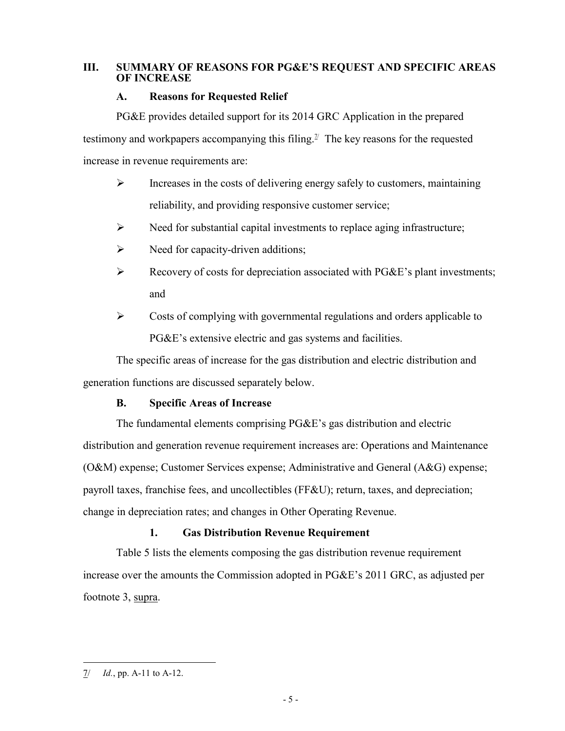### **III. SUMMARY OF REASONS FOR PG&E'S REQUEST AND SPECIFIC AREAS OF INCREASE**

### **A. Reasons for Requested Relief**

PG&E provides detailed support for its 2014 GRC Application in the prepared testimony and workpapers accompanying this filing.<sup> $\mathbb{I}$ </sup> The key reasons for the requested increase in revenue requirements are:

- $\triangleright$  Increases in the costs of delivering energy safely to customers, maintaining reliability, and providing responsive customer service;
- $\triangleright$  Need for substantial capital investments to replace aging infrastructure;
- $\triangleright$  Need for capacity-driven additions;
- $\triangleright$  Recovery of costs for depreciation associated with PG&E's plant investments; and
- $\triangleright$  Costs of complying with governmental regulations and orders applicable to PG&E's extensive electric and gas systems and facilities.

The specific areas of increase for the gas distribution and electric distribution and generation functions are discussed separately below.

### **B. Specific Areas of Increase**

The fundamental elements comprising PG&E's gas distribution and electric distribution and generation revenue requirement increases are: Operations and Maintenance (O&M) expense; Customer Services expense; Administrative and General (A&G) expense; payroll taxes, franchise fees, and uncollectibles (FF&U); return, taxes, and depreciation; change in depreciation rates; and changes in Other Operating Revenue.

### **1. Gas Distribution Revenue Requirement**

Table 5 lists the elements composing the gas distribution revenue requirement increase over the amounts the Commission adopted in PG&E's 2011 GRC, as adjusted per footnote 3, supra.

<sup>7/</sup> *Id.*, pp. A-11 to A-12.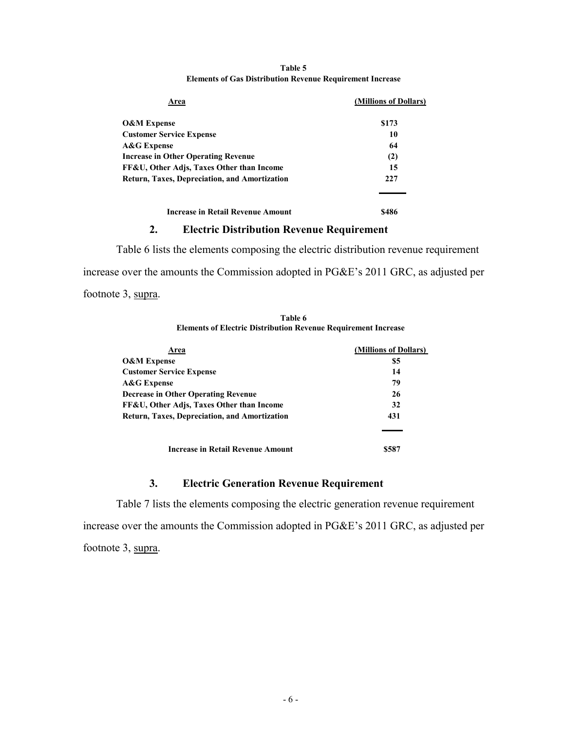| Area                                                 | (Millions of Dollars) |
|------------------------------------------------------|-----------------------|
| <b>O&amp;M Expense</b>                               | \$173                 |
| <b>Customer Service Expense</b>                      | 10                    |
| A&G Expense                                          | 64                    |
| <b>Increase in Other Operating Revenue</b>           | (2)                   |
| FF&U, Other Adjs, Taxes Other than Income            | 15                    |
| <b>Return, Taxes, Depreciation, and Amortization</b> | 227                   |
|                                                      |                       |
| <b>Increase in Retail Revenue Amount</b>             | S486                  |

#### **Table 5 Elements of Gas Distribution Revenue Requirement Increase**

#### **2. Electric Distribution Revenue Requirement**

Table 6 lists the elements composing the electric distribution revenue requirement increase over the amounts the Commission adopted in PG&E's 2011 GRC, as adjusted per footnote 3, supra.

| Table 6                                                               |
|-----------------------------------------------------------------------|
| <b>Elements of Electric Distribution Revenue Requirement Increase</b> |

| Area                                                 | (Millions of Dollars) |
|------------------------------------------------------|-----------------------|
| <b>O&amp;M</b> Expense                               | \$5                   |
| <b>Customer Service Expense</b>                      | 14                    |
| <b>A&amp;G</b> Expense                               | 79                    |
| <b>Decrease in Other Operating Revenue</b>           | 26                    |
| FF&U, Other Adjs, Taxes Other than Income            | 32                    |
| <b>Return, Taxes, Depreciation, and Amortization</b> | 431                   |
|                                                      |                       |
| Increase in Retail Revenue Amount                    | \$58.                 |

### **3. Electric Generation Revenue Requirement**

Table 7 lists the elements composing the electric generation revenue requirement increase over the amounts the Commission adopted in PG&E's 2011 GRC, as adjusted per footnote 3, supra.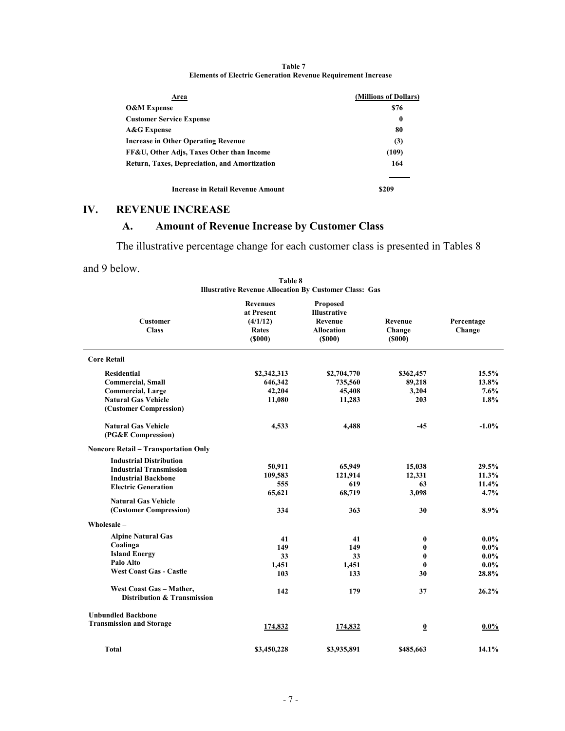| Area                                          | (Millions of Dollars) |
|-----------------------------------------------|-----------------------|
| <b>O&amp;M Expense</b>                        | \$76                  |
| <b>Customer Service Expense</b>               | $\bf{0}$              |
| <b>A&amp;G Expense</b>                        | 80                    |
| <b>Increase in Other Operating Revenue</b>    | (3)                   |
| FF&U, Other Adis, Taxes Other than Income     | (109)                 |
| Return, Taxes, Depreciation, and Amortization | 164                   |
| Increase in Retail Revenue Amount             | \$209                 |

**Table 7 Elements of Electric Generation Revenue Requirement Increase**

### **IV. REVENUE INCREASE**

# **A. Amount of Revenue Increase by Customer Class**

The illustrative percentage change for each customer class is presented in Tables 8

and 9 below.

| <b>Customer</b><br><b>Class</b>                         | <b>Revenues</b><br>at Present<br>(4/1/12)<br>Rates<br>$($ \$000 $)$ | Proposed<br><b>Illustrative</b><br>Revenue<br><b>Allocation</b><br>$($ \$000 $)$ | Revenue<br>Change<br>$($ \$000 $)$ | Percentage<br>Change |
|---------------------------------------------------------|---------------------------------------------------------------------|----------------------------------------------------------------------------------|------------------------------------|----------------------|
| <b>Core Retail</b>                                      |                                                                     |                                                                                  |                                    |                      |
| <b>Residential</b>                                      | \$2,342,313                                                         | \$2,704,770                                                                      | \$362,457                          | 15.5%                |
| <b>Commercial, Small</b>                                | 646,342                                                             | 735,560                                                                          | 89,218                             | 13.8%                |
| <b>Commercial, Large</b>                                | 42,204                                                              | 45,408                                                                           | 3,204                              | 7.6%                 |
| <b>Natural Gas Vehicle</b>                              | 11,080                                                              | 11,283                                                                           | 203                                | 1.8%                 |
| (Customer Compression)                                  |                                                                     |                                                                                  |                                    |                      |
| <b>Natural Gas Vehicle</b>                              | 4,533                                                               | 4,488                                                                            | -45                                | $-1.0\%$             |
| (PG&E Compression)                                      |                                                                     |                                                                                  |                                    |                      |
| <b>Noncore Retail - Transportation Only</b>             |                                                                     |                                                                                  |                                    |                      |
| <b>Industrial Distribution</b>                          |                                                                     |                                                                                  |                                    | 29.5%                |
| <b>Industrial Transmission</b>                          | 50,911                                                              | 65,949                                                                           | 15,038                             |                      |
| <b>Industrial Backbone</b>                              | 109,583<br>555                                                      | 121,914<br>619                                                                   | 12,331<br>63                       | 11.3%<br>11.4%       |
| <b>Electric Generation</b>                              |                                                                     | 68,719                                                                           | 3,098                              | 4.7%                 |
| <b>Natural Gas Vehicle</b>                              | 65,621                                                              |                                                                                  |                                    |                      |
| (Customer Compression)                                  | 334                                                                 | 363                                                                              | 30                                 | 8.9%                 |
| Wholesale -                                             |                                                                     |                                                                                  |                                    |                      |
| <b>Alpine Natural Gas</b>                               | 41                                                                  | 41                                                                               | $\bf{0}$                           | $0.0\%$              |
| Coalinga                                                | 149                                                                 | 149                                                                              | 0                                  | $0.0\%$              |
| <b>Island Energy</b>                                    | 33                                                                  | 33                                                                               | 0                                  | $0.0\%$              |
| Palo Alto                                               | 1,451                                                               | 1,451                                                                            | $\bf{0}$                           | $0.0\%$              |
| <b>West Coast Gas - Castle</b>                          | 103                                                                 | 133                                                                              | 30                                 | 28.8%                |
| West Coast Gas - Mather,<br>Distribution & Transmission | 142                                                                 | 179                                                                              | 37                                 | 26.2%                |
| <b>Unbundled Backbone</b>                               |                                                                     |                                                                                  |                                    |                      |
| <b>Transmission and Storage</b>                         | 174,832                                                             | 174,832                                                                          | $\overline{\mathbf{0}}$            | $0.0\%$              |
| <b>Total</b>                                            | \$3,450,228                                                         | \$3,935,891                                                                      | \$485,663                          | 14.1%                |

| Table 8                                                       |  |  |  |  |  |
|---------------------------------------------------------------|--|--|--|--|--|
| <b>Illustrative Revenue Allocation By Customer Class: Gas</b> |  |  |  |  |  |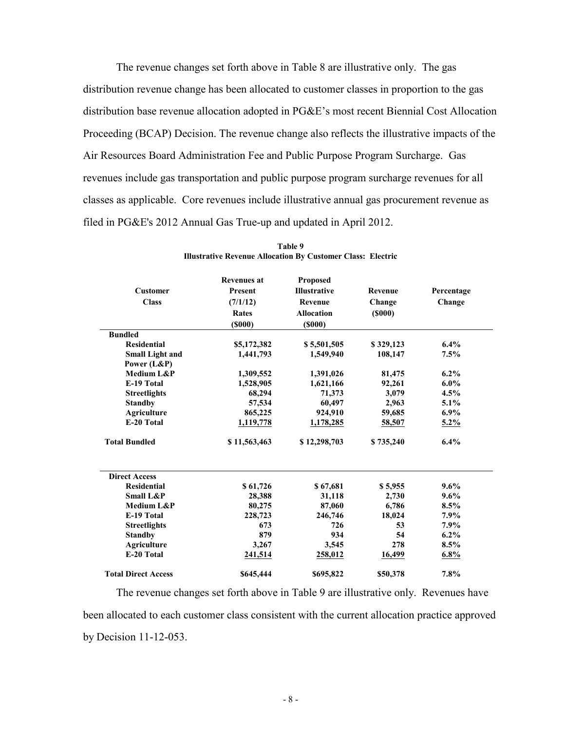The revenue changes set forth above in Table 8 are illustrative only. The gas distribution revenue change has been allocated to customer classes in proportion to the gas distribution base revenue allocation adopted in PG&E's most recent Biennial Cost Allocation Proceeding (BCAP) Decision. The revenue change also reflects the illustrative impacts of the Air Resources Board Administration Fee and Public Purpose Program Surcharge. Gas revenues include gas transportation and public purpose program surcharge revenues for all classes as applicable. Core revenues include illustrative annual gas procurement revenue as filed in PG&E's 2012 Annual Gas True-up and updated in April 2012.

| <b>Customer</b><br><b>Class</b> | <b>Revenues at</b><br>Present<br>(7/1/12)<br>Rates<br>$($ \$000 $)$ | Proposed<br><b>Illustrative</b><br>Revenue<br><b>Allocation</b><br>$($ \$000 $)$ | Revenue<br>Change<br>$($ \$000 $)$ | Percentage<br>Change |
|---------------------------------|---------------------------------------------------------------------|----------------------------------------------------------------------------------|------------------------------------|----------------------|
| <b>Bundled</b>                  |                                                                     |                                                                                  |                                    |                      |
| <b>Residential</b>              | \$5,172,382                                                         | \$5,501,505                                                                      | \$329,123                          | $6.4\%$              |
| <b>Small Light and</b>          | 1,441,793                                                           | 1,549,940                                                                        | 108,147                            | 7.5%                 |
| Power (L&P)                     |                                                                     |                                                                                  |                                    |                      |
| Medium L&P                      | 1,309,552                                                           | 1,391,026                                                                        | 81,475                             | $6.2\%$              |
| E-19 Total                      | 1,528,905                                                           | 1,621,166                                                                        | 92,261                             | $6.0\%$              |
| <b>Streetlights</b>             | 68,294                                                              | 71,373                                                                           | 3,079                              | 4.5%                 |
| <b>Standby</b>                  | 57,534                                                              | 60,497                                                                           | 2,963                              | 5.1%                 |
| <b>Agriculture</b>              | 865,225                                                             | 924,910                                                                          | 59,685                             | $6.9\%$              |
| E-20 Total                      | 1,119,778                                                           | 1,178,285                                                                        | 58,507                             | $5.2\%$              |
| <b>Total Bundled</b>            | \$11,563,463                                                        | \$12,298,703                                                                     | \$735,240                          | 6.4%                 |
| <b>Direct Access</b>            |                                                                     |                                                                                  |                                    |                      |
| <b>Residential</b>              | \$61,726                                                            | \$67,681                                                                         | \$5,955                            | $9.6\%$              |
| <b>Small L&amp;P</b>            | 28,388                                                              | 31,118                                                                           | 2,730                              | 9.6%                 |
| Medium L&P                      | 80,275                                                              | 87,060                                                                           | 6,786                              | 8.5%                 |
| E-19 Total                      | 228,723                                                             | 246,746                                                                          | 18,024                             | 7.9%                 |
| <b>Streetlights</b>             | 673                                                                 | 726                                                                              | 53                                 | 7.9%                 |
| <b>Standby</b>                  | 879                                                                 | 934                                                                              | 54                                 | 6.2%                 |
| <b>Agriculture</b>              | 3,267                                                               | 3,545                                                                            | 278                                | 8.5%                 |
| E-20 Total                      | 241,514                                                             | 258,012                                                                          | <u>16,499</u>                      | 6.8%                 |
| <b>Total Direct Access</b>      | \$645,444                                                           | \$695,822                                                                        | \$50,378                           | 7.8%                 |

**Table 9 Illustrative Revenue Allocation By Customer Class: Electric**

The revenue changes set forth above in Table 9 are illustrative only. Revenues have been allocated to each customer class consistent with the current allocation practice approved by Decision 11-12-053.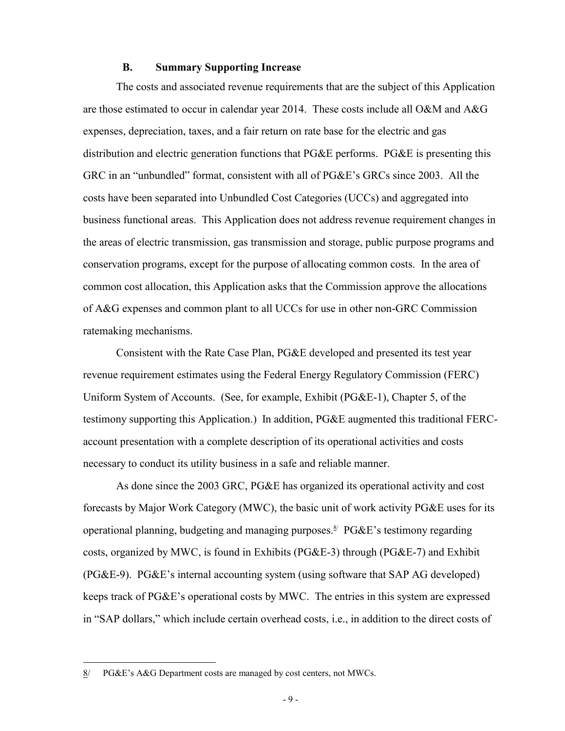#### **B. Summary Supporting Increase**

The costs and associated revenue requirements that are the subject of this Application are those estimated to occur in calendar year 2014. These costs include all O&M and A&G expenses, depreciation, taxes, and a fair return on rate base for the electric and gas distribution and electric generation functions that PG&E performs. PG&E is presenting this GRC in an "unbundled" format, consistent with all of PG&E's GRCs since 2003. All the costs have been separated into Unbundled Cost Categories (UCCs) and aggregated into business functional areas. This Application does not address revenue requirement changes in the areas of electric transmission, gas transmission and storage, public purpose programs and conservation programs, except for the purpose of allocating common costs. In the area of common cost allocation, this Application asks that the Commission approve the allocations of A&G expenses and common plant to all UCCs for use in other non-GRC Commission ratemaking mechanisms.

Consistent with the Rate Case Plan, PG&E developed and presented its test year revenue requirement estimates using the Federal Energy Regulatory Commission (FERC) Uniform System of Accounts. (See, for example, Exhibit (PG&E-1), Chapter 5, of the testimony supporting this Application.) In addition, PG&E augmented this traditional FERCaccount presentation with a complete description of its operational activities and costs necessary to conduct its utility business in a safe and reliable manner.

As done since the 2003 GRC, PG&E has organized its operational activity and cost forecasts by Major Work Category (MWC), the basic unit of work activity PG&E uses for its operational planning, budgeting and managing purposes.<sup>8/</sup>  $P G \& E$ 's testimony regarding costs, organized by MWC, is found in Exhibits (PG&E-3) through (PG&E-7) and Exhibit (PG&E-9). PG&E's internal accounting system (using software that SAP AG developed) keeps track of PG&E's operational costs by MWC. The entries in this system are expressed in "SAP dollars," which include certain overhead costs, i.e., in addition to the direct costs of

<sup>8/</sup> PG&E's A&G Department costs are managed by cost centers, not MWCs.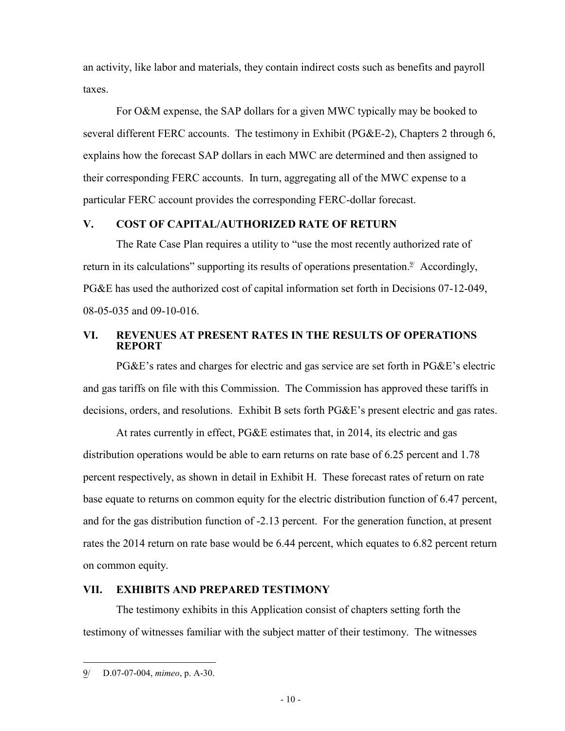an activity, like labor and materials, they contain indirect costs such as benefits and payroll taxes.

For O&M expense, the SAP dollars for a given MWC typically may be booked to several different FERC accounts. The testimony in Exhibit (PG&E-2), Chapters 2 through 6, explains how the forecast SAP dollars in each MWC are determined and then assigned to their corresponding FERC accounts. In turn, aggregating all of the MWC expense to a particular FERC account provides the corresponding FERC-dollar forecast.

### **V. COST OF CAPITAL/AUTHORIZED RATE OF RETURN**

The Rate Case Plan requires a utility to "use the most recently authorized rate of return in its calculations" supporting its results of operations presentation.<sup>9/</sup> Accordingly, PG&E has used the authorized cost of capital information set forth in Decisions 07-12-049, 08-05-035 and 09-10-016.

### **VI. REVENUES AT PRESENT RATES IN THE RESULTS OF OPERATIONS REPORT**

PG&E's rates and charges for electric and gas service are set forth in PG&E's electric and gas tariffs on file with this Commission. The Commission has approved these tariffs in decisions, orders, and resolutions. Exhibit B sets forth PG&E's present electric and gas rates.

At rates currently in effect, PG&E estimates that, in 2014, its electric and gas distribution operations would be able to earn returns on rate base of 6.25 percent and 1.78 percent respectively, as shown in detail in Exhibit H. These forecast rates of return on rate base equate to returns on common equity for the electric distribution function of 6.47 percent, and for the gas distribution function of -2.13 percent. For the generation function, at present rates the 2014 return on rate base would be 6.44 percent, which equates to 6.82 percent return on common equity.

### **VII. EXHIBITS AND PREPARED TESTIMONY**

The testimony exhibits in this Application consist of chapters setting forth the testimony of witnesses familiar with the subject matter of their testimony. The witnesses

<sup>9/</sup> D.07-07-004, *mimeo*, p. A-30.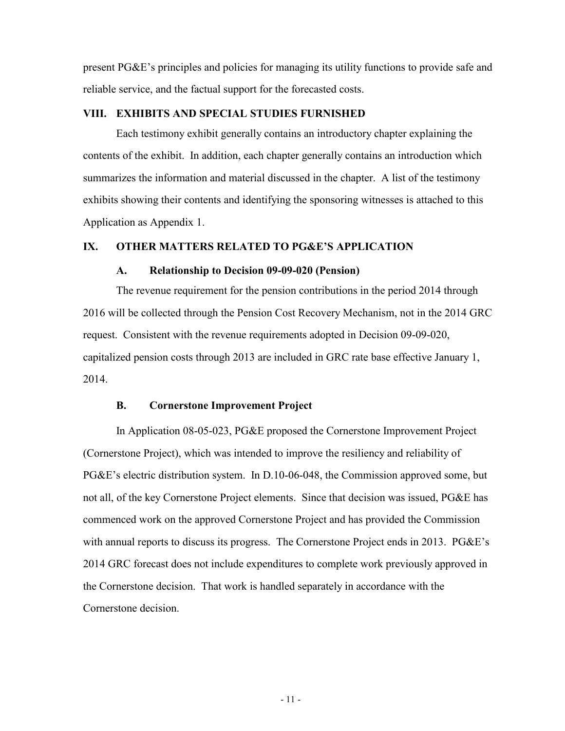present PG&E's principles and policies for managing its utility functions to provide safe and reliable service, and the factual support for the forecasted costs.

### **VIII. EXHIBITS AND SPECIAL STUDIES FURNISHED**

Each testimony exhibit generally contains an introductory chapter explaining the contents of the exhibit. In addition, each chapter generally contains an introduction which summarizes the information and material discussed in the chapter. A list of the testimony exhibits showing their contents and identifying the sponsoring witnesses is attached to this Application as Appendix 1.

#### **IX. OTHER MATTERS RELATED TO PG&E'S APPLICATION**

#### **A. Relationship to Decision 09-09-020 (Pension)**

The revenue requirement for the pension contributions in the period 2014 through 2016 will be collected through the Pension Cost Recovery Mechanism, not in the 2014 GRC request. Consistent with the revenue requirements adopted in Decision 09-09-020, capitalized pension costs through 2013 are included in GRC rate base effective January 1, 2014.

#### **B. Cornerstone Improvement Project**

In Application 08-05-023, PG&E proposed the Cornerstone Improvement Project (Cornerstone Project), which was intended to improve the resiliency and reliability of PG&E's electric distribution system. In D.10-06-048, the Commission approved some, but not all, of the key Cornerstone Project elements. Since that decision was issued, PG&E has commenced work on the approved Cornerstone Project and has provided the Commission with annual reports to discuss its progress. The Cornerstone Project ends in 2013. PG&E's 2014 GRC forecast does not include expenditures to complete work previously approved in the Cornerstone decision. That work is handled separately in accordance with the Cornerstone decision.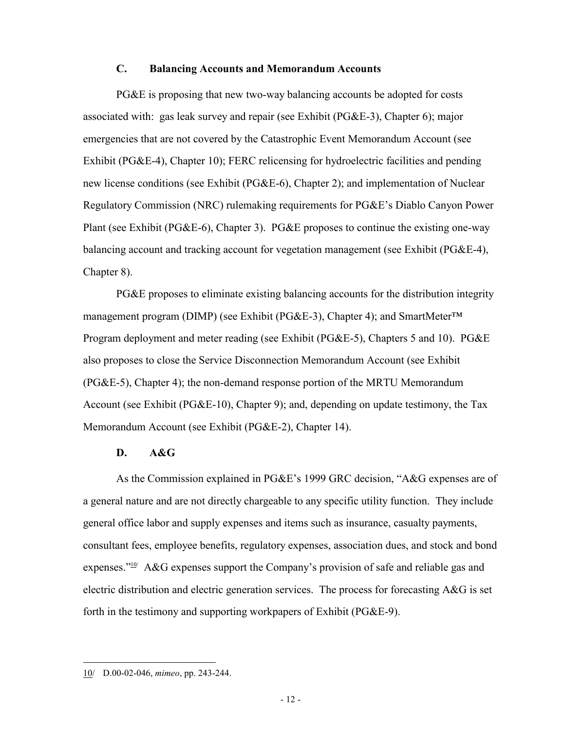### **C. Balancing Accounts and Memorandum Accounts**

PG&E is proposing that new two-way balancing accounts be adopted for costs associated with: gas leak survey and repair (see Exhibit (PG&E-3), Chapter 6); major emergencies that are not covered by the Catastrophic Event Memorandum Account (see Exhibit (PG&E-4), Chapter 10); FERC relicensing for hydroelectric facilities and pending new license conditions (see Exhibit (PG&E-6), Chapter 2); and implementation of Nuclear Regulatory Commission (NRC) rulemaking requirements for PG&E's Diablo Canyon Power Plant (see Exhibit (PG&E-6), Chapter 3). PG&E proposes to continue the existing one-way balancing account and tracking account for vegetation management (see Exhibit (PG&E-4), Chapter 8).

PG&E proposes to eliminate existing balancing accounts for the distribution integrity management program (DIMP) (see Exhibit (PG&E-3), Chapter 4); and SmartMeter<sup>™</sup> Program deployment and meter reading (see Exhibit (PG&E-5), Chapters 5 and 10). PG&E also proposes to close the Service Disconnection Memorandum Account (see Exhibit (PG&E-5), Chapter 4); the non-demand response portion of the MRTU Memorandum Account (see Exhibit (PG&E-10), Chapter 9); and, depending on update testimony, the Tax Memorandum Account (see Exhibit (PG&E-2), Chapter 14).

#### **D. A&G**

As the Commission explained in PG&E's 1999 GRC decision, "A&G expenses are of a general nature and are not directly chargeable to any specific utility function. They include general office labor and supply expenses and items such as insurance, casualty payments, consultant fees, employee benefits, regulatory expenses, association dues, and stock and bond expenses." $10^{\circ}$  A&G expenses support the Company's provision of safe and reliable gas and electric distribution and electric generation services. The process for forecasting A&G is set forth in the testimony and supporting workpapers of Exhibit (PG&E-9).

<sup>10/</sup> D.00-02-046, *mimeo*, pp. 243-244.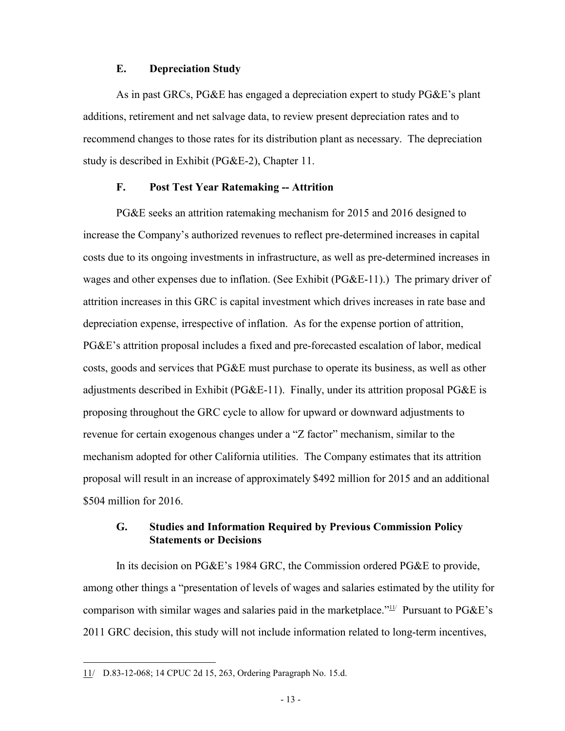#### **E. Depreciation Study**

As in past GRCs, PG&E has engaged a depreciation expert to study PG&E's plant additions, retirement and net salvage data, to review present depreciation rates and to recommend changes to those rates for its distribution plant as necessary. The depreciation study is described in Exhibit (PG&E-2), Chapter 11.

#### **F. Post Test Year Ratemaking -- Attrition**

PG&E seeks an attrition ratemaking mechanism for 2015 and 2016 designed to increase the Company's authorized revenues to reflect pre-determined increases in capital costs due to its ongoing investments in infrastructure, as well as pre-determined increases in wages and other expenses due to inflation. (See Exhibit (PG&E-11).) The primary driver of attrition increases in this GRC is capital investment which drives increases in rate base and depreciation expense, irrespective of inflation. As for the expense portion of attrition, PG&E's attrition proposal includes a fixed and pre-forecasted escalation of labor, medical costs, goods and services that PG&E must purchase to operate its business, as well as other adjustments described in Exhibit (PG&E-11). Finally, under its attrition proposal PG&E is proposing throughout the GRC cycle to allow for upward or downward adjustments to revenue for certain exogenous changes under a "Z factor" mechanism, similar to the mechanism adopted for other California utilities. The Company estimates that its attrition proposal will result in an increase of approximately \$492 million for 2015 and an additional \$504 million for 2016.

### **G. Studies and Information Required by Previous Commission Policy Statements or Decisions**

In its decision on PG&E's 1984 GRC, the Commission ordered PG&E to provide, among other things a "presentation of levels of wages and salaries estimated by the utility for comparison with similar wages and salaries paid in the marketplace." $11/2$  Pursuant to PG&E's 2011 GRC decision, this study will not include information related to long-term incentives,

<sup>11/</sup> D.83-12-068; 14 CPUC 2d 15, 263, Ordering Paragraph No. 15.d.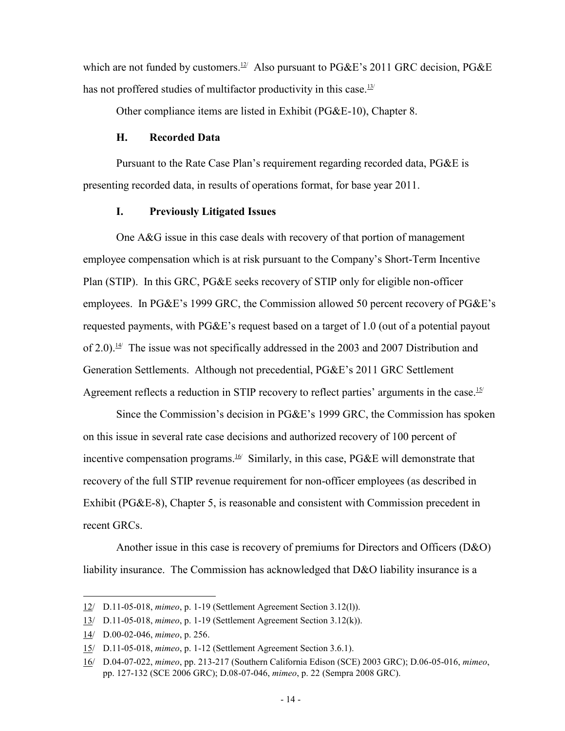which are not funded by customers.<sup>12/</sup> Also pursuant to  $P G \& E$ 's 2011 GRC decision, PG $\& E$ has not proffered studies of multifactor productivity in this case. $13$ /

Other compliance items are listed in Exhibit (PG&E-10), Chapter 8.

#### **H. Recorded Data**

Pursuant to the Rate Case Plan's requirement regarding recorded data, PG&E is presenting recorded data, in results of operations format, for base year 2011.

#### **I. Previously Litigated Issues**

One A&G issue in this case deals with recovery of that portion of management employee compensation which is at risk pursuant to the Company's Short-Term Incentive Plan (STIP). In this GRC, PG&E seeks recovery of STIP only for eligible non-officer employees. In PG&E's 1999 GRC, the Commission allowed 50 percent recovery of PG&E's requested payments, with PG&E's request based on a target of 1.0 (out of a potential payout of 2.0).<sup>14</sup> The issue was not specifically addressed in the 2003 and 2007 Distribution and Generation Settlements. Although not precedential, PG&E's 2011 GRC Settlement Agreement reflects a reduction in STIP recovery to reflect parties' arguments in the case.<sup>15/</sup>

Since the Commission's decision in PG&E's 1999 GRC, the Commission has spoken on this issue in several rate case decisions and authorized recovery of 100 percent of incentive compensation programs.<sup>16/</sup> Similarly, in this case, PG&E will demonstrate that recovery of the full STIP revenue requirement for non-officer employees (as described in Exhibit (PG&E-8), Chapter 5, is reasonable and consistent with Commission precedent in recent GRCs.

Another issue in this case is recovery of premiums for Directors and Officers (D&O) liability insurance. The Commission has acknowledged that D&O liability insurance is a

<sup>12/</sup> D.11-05-018, *mimeo*, p. 1-19 (Settlement Agreement Section 3.12(l)).

<sup>13/</sup> D.11-05-018, *mimeo*, p. 1-19 (Settlement Agreement Section 3.12(k)).

<sup>14/</sup> D.00-02-046, *mimeo*, p. 256.

<sup>15/</sup> D.11-05-018, *mimeo*, p. 1-12 (Settlement Agreement Section 3.6.1).

<sup>16/</sup> D.04-07-022, *mimeo*, pp. 213-217 (Southern California Edison (SCE) 2003 GRC); D.06-05-016, *mimeo*, pp. 127-132 (SCE 2006 GRC); D.08-07-046, *mimeo*, p. 22 (Sempra 2008 GRC).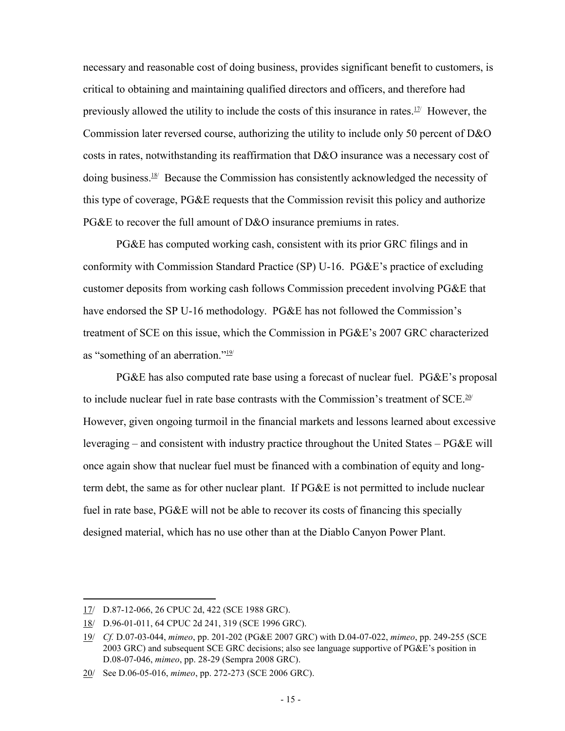necessary and reasonable cost of doing business, provides significant benefit to customers, is critical to obtaining and maintaining qualified directors and officers, and therefore had previously allowed the utility to include the costs of this insurance in rates. $17/2$  However, the Commission later reversed course, authorizing the utility to include only 50 percent of D&O costs in rates, notwithstanding its reaffirmation that D&O insurance was a necessary cost of doing business.18/ Because the Commission has consistently acknowledged the necessity of this type of coverage, PG&E requests that the Commission revisit this policy and authorize PG&E to recover the full amount of D&O insurance premiums in rates.

PG&E has computed working cash, consistent with its prior GRC filings and in conformity with Commission Standard Practice (SP) U-16. PG&E's practice of excluding customer deposits from working cash follows Commission precedent involving PG&E that have endorsed the SP U-16 methodology. PG&E has not followed the Commission's treatment of SCE on this issue, which the Commission in PG&E's 2007 GRC characterized as "something of an aberration." $\frac{19}{12}$ 

PG&E has also computed rate base using a forecast of nuclear fuel. PG&E's proposal to include nuclear fuel in rate base contrasts with the Commission's treatment of SCE.<sup>20/</sup> However, given ongoing turmoil in the financial markets and lessons learned about excessive leveraging – and consistent with industry practice throughout the United States – PG&E will once again show that nuclear fuel must be financed with a combination of equity and longterm debt, the same as for other nuclear plant. If PG&E is not permitted to include nuclear fuel in rate base, PG&E will not be able to recover its costs of financing this specially designed material, which has no use other than at the Diablo Canyon Power Plant.

<sup>17/</sup> D.87-12-066, 26 CPUC 2d, 422 (SCE 1988 GRC).

<sup>18/</sup> D.96-01-011, 64 CPUC 2d 241, 319 (SCE 1996 GRC).

<sup>19/</sup> *Cf.* D.07-03-044, *mimeo*, pp. 201-202 (PG&E 2007 GRC) with D.04-07-022, *mimeo*, pp. 249-255 (SCE 2003 GRC) and subsequent SCE GRC decisions; also see language supportive of PG&E's position in D.08-07-046, *mimeo*, pp. 28-29 (Sempra 2008 GRC).

<sup>20/</sup> See D.06-05-016, *mimeo*, pp. 272-273 (SCE 2006 GRC).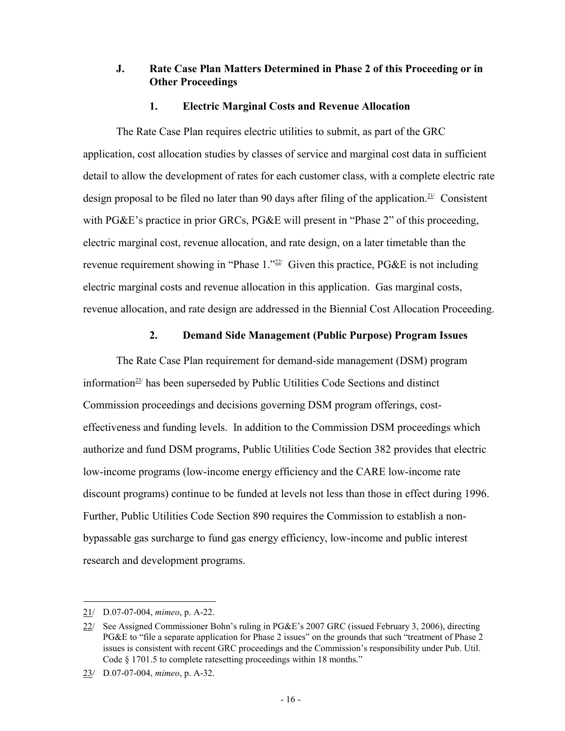### **J. Rate Case Plan Matters Determined in Phase 2 of this Proceeding or in Other Proceedings**

#### **1. Electric Marginal Costs and Revenue Allocation**

The Rate Case Plan requires electric utilities to submit, as part of the GRC application, cost allocation studies by classes of service and marginal cost data in sufficient detail to allow the development of rates for each customer class, with a complete electric rate design proposal to be filed no later than 90 days after filing of the application.<sup>21/</sup> Consistent with PG&E's practice in prior GRCs, PG&E will present in "Phase 2" of this proceeding, electric marginal cost, revenue allocation, and rate design, on a later timetable than the revenue requirement showing in "Phase  $1.^{\prime22}$  Given this practice, PG&E is not including electric marginal costs and revenue allocation in this application. Gas marginal costs, revenue allocation, and rate design are addressed in the Biennial Cost Allocation Proceeding.

#### **2. Demand Side Management (Public Purpose) Program Issues**

The Rate Case Plan requirement for demand-side management (DSM) program information<sup>23/</sup> has been superseded by Public Utilities Code Sections and distinct Commission proceedings and decisions governing DSM program offerings, costeffectiveness and funding levels. In addition to the Commission DSM proceedings which authorize and fund DSM programs, Public Utilities Code Section 382 provides that electric low-income programs (low-income energy efficiency and the CARE low-income rate discount programs) continue to be funded at levels not less than those in effect during 1996. Further, Public Utilities Code Section 890 requires the Commission to establish a nonbypassable gas surcharge to fund gas energy efficiency, low-income and public interest research and development programs.

<sup>21/</sup> D.07-07-004, *mimeo*, p. A-22.

<sup>22/</sup> See Assigned Commissioner Bohn's ruling in PG&E's 2007 GRC (issued February 3, 2006), directing PG&E to "file a separate application for Phase 2 issues" on the grounds that such "treatment of Phase 2 issues is consistent with recent GRC proceedings and the Commission's responsibility under Pub. Util. Code § 1701.5 to complete ratesetting proceedings within 18 months."

<sup>23/</sup> D.07-07-004, *mimeo*, p. A-32.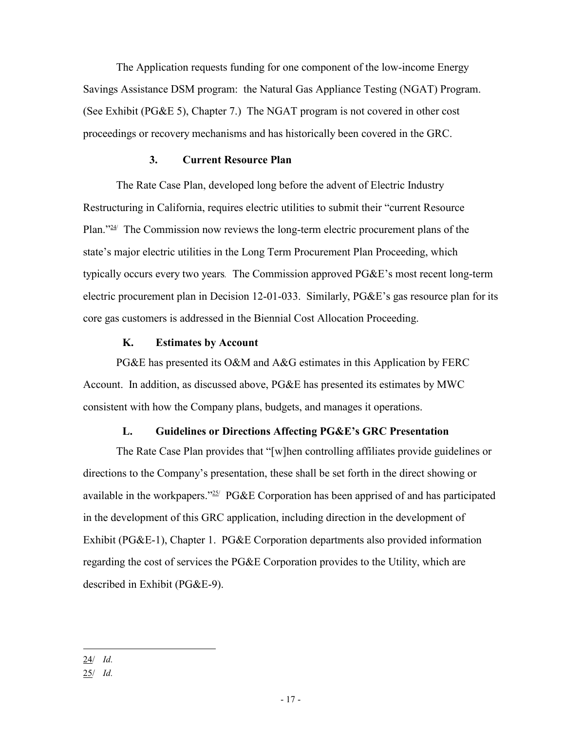The Application requests funding for one component of the low-income Energy Savings Assistance DSM program: the Natural Gas Appliance Testing (NGAT) Program. (See Exhibit (PG&E 5), Chapter 7.) The NGAT program is not covered in other cost proceedings or recovery mechanisms and has historically been covered in the GRC.

#### **3. Current Resource Plan**

The Rate Case Plan, developed long before the advent of Electric Industry Restructuring in California, requires electric utilities to submit their "current Resource Plan."<sup>24/</sup> The Commission now reviews the long-term electric procurement plans of the state's major electric utilities in the Long Term Procurement Plan Proceeding, which typically occurs every two years*.* The Commission approved PG&E's most recent long-term electric procurement plan in Decision 12-01-033. Similarly, PG&E's gas resource plan for its core gas customers is addressed in the Biennial Cost Allocation Proceeding.

#### **K. Estimates by Account**

PG&E has presented its O&M and A&G estimates in this Application by FERC Account. In addition, as discussed above, PG&E has presented its estimates by MWC consistent with how the Company plans, budgets, and manages it operations.

#### **L. Guidelines or Directions Affecting PG&E's GRC Presentation**

The Rate Case Plan provides that "[w]hen controlling affiliates provide guidelines or directions to the Company's presentation, these shall be set forth in the direct showing or available in the workpapers."<sup>25/</sup> PG&E Corporation has been apprised of and has participated in the development of this GRC application, including direction in the development of Exhibit (PG&E-1), Chapter 1. PG&E Corporation departments also provided information regarding the cost of services the PG&E Corporation provides to the Utility, which are described in Exhibit (PG&E-9).

<sup>24/</sup> *Id.*

<sup>25/</sup> *Id.*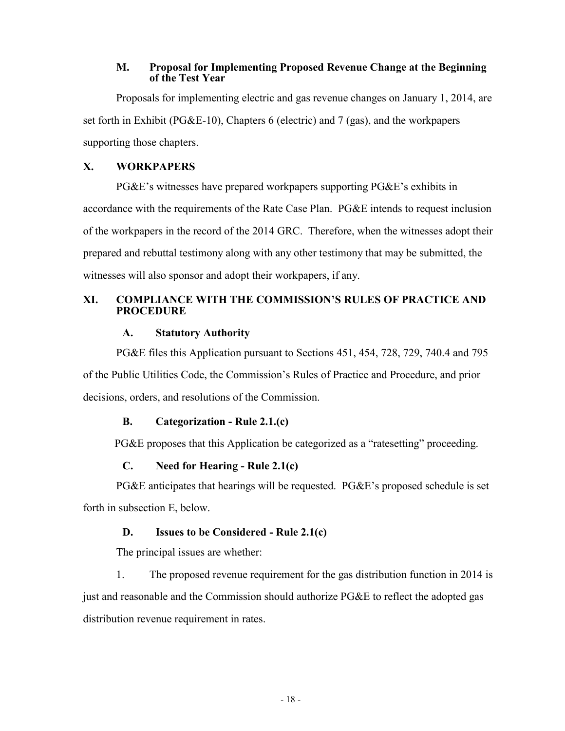#### **M. Proposal for Implementing Proposed Revenue Change at the Beginning of the Test Year**

Proposals for implementing electric and gas revenue changes on January 1, 2014, are set forth in Exhibit (PG&E-10), Chapters 6 (electric) and 7 (gas), and the workpapers supporting those chapters.

### **X. WORKPAPERS**

PG&E's witnesses have prepared workpapers supporting PG&E's exhibits in accordance with the requirements of the Rate Case Plan. PG&E intends to request inclusion of the workpapers in the record of the 2014 GRC. Therefore, when the witnesses adopt their prepared and rebuttal testimony along with any other testimony that may be submitted, the witnesses will also sponsor and adopt their workpapers, if any.

### **XI. COMPLIANCE WITH THE COMMISSION'S RULES OF PRACTICE AND PROCEDURE**

#### **A. Statutory Authority**

PG&E files this Application pursuant to Sections 451, 454, 728, 729, 740.4 and 795 of the Public Utilities Code, the Commission's Rules of Practice and Procedure, and prior decisions, orders, and resolutions of the Commission.

#### **B. Categorization - Rule 2.1.(c)**

PG&E proposes that this Application be categorized as a "ratesetting" proceeding.

#### **C. Need for Hearing - Rule 2.1(c)**

PG&E anticipates that hearings will be requested. PG&E's proposed schedule is set forth in subsection E, below.

#### **D. Issues to be Considered - Rule 2.1(c)**

The principal issues are whether:

1. The proposed revenue requirement for the gas distribution function in 2014 is just and reasonable and the Commission should authorize PG&E to reflect the adopted gas distribution revenue requirement in rates.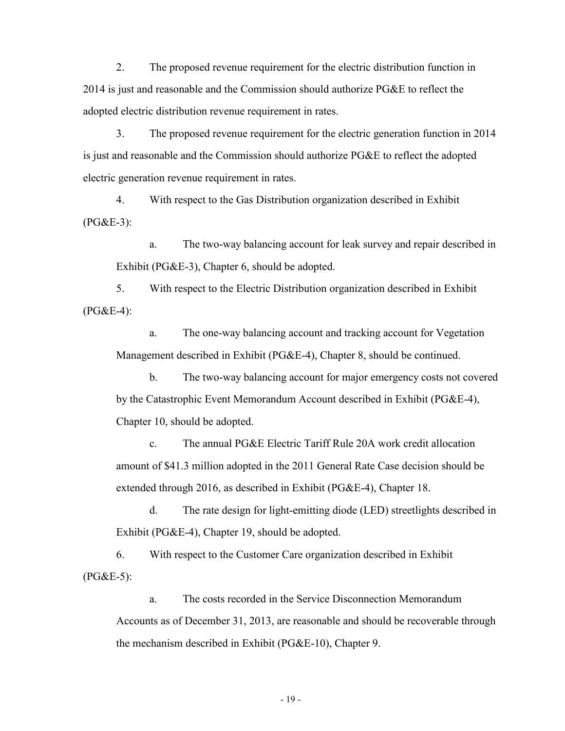2. The proposed revenue requirement for the electric distribution function in 2014 is just and reasonable and the Commission should authorize PG&E to reflect the adopted electric distribution revenue requirement in rates.

3. The proposed revenue requirement for the electric generation function in 2014 is just and reasonable and the Commission should authorize PG&E to reflect the adopted electric generation revenue requirement in rates.

4. With respect to the Gas Distribution organization described in Exhibit  $(PG&E-3)$ :

a. The two-way balancing account for leak survey and repair described in Exhibit (PG&E-3), Chapter 6, should be adopted.

5. With respect to the Electric Distribution organization described in Exhibit (PG&E-4):

a. The one-way balancing account and tracking account for Vegetation Management described in Exhibit (PG&E-4), Chapter 8, should be continued.

b. The two-way balancing account for major emergency costs not covered by the Catastrophic Event Memorandum Account described in Exhibit (PG&E-4), Chapter 10, should be adopted.

c. The annual PG&E Electric Tariff Rule 20A work credit allocation amount of \$41.3 million adopted in the 2011 General Rate Case decision should be extended through 2016, as described in Exhibit (PG&E-4), Chapter 18.

d. The rate design for light-emitting diode (LED) streetlights described in Exhibit (PG&E-4), Chapter 19, should be adopted.

6. With respect to the Customer Care organization described in Exhibit (PG&E-5):

a. The costs recorded in the Service Disconnection Memorandum Accounts as of December 31, 2013, are reasonable and should be recoverable through the mechanism described in Exhibit (PG&E-10), Chapter 9.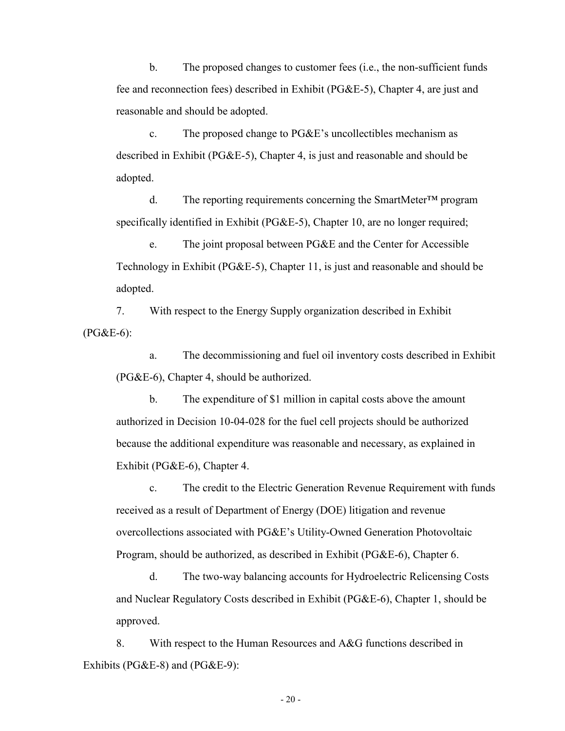b. The proposed changes to customer fees (i.e., the non-sufficient funds fee and reconnection fees) described in Exhibit (PG&E-5), Chapter 4, are just and reasonable and should be adopted.

c. The proposed change to PG&E's uncollectibles mechanism as described in Exhibit (PG&E-5), Chapter 4, is just and reasonable and should be adopted.

d. The reporting requirements concerning the SmartMeter™ program specifically identified in Exhibit (PG&E-5), Chapter 10, are no longer required;

e. The joint proposal between PG&E and the Center for Accessible Technology in Exhibit (PG&E-5), Chapter 11, is just and reasonable and should be adopted.

7. With respect to the Energy Supply organization described in Exhibit (PG&E-6):

a. The decommissioning and fuel oil inventory costs described in Exhibit (PG&E-6), Chapter 4, should be authorized.

b. The expenditure of \$1 million in capital costs above the amount authorized in Decision 10-04-028 for the fuel cell projects should be authorized because the additional expenditure was reasonable and necessary, as explained in Exhibit (PG&E-6), Chapter 4.

c. The credit to the Electric Generation Revenue Requirement with funds received as a result of Department of Energy (DOE) litigation and revenue overcollections associated with PG&E's Utility-Owned Generation Photovoltaic Program, should be authorized, as described in Exhibit (PG&E-6), Chapter 6.

d. The two-way balancing accounts for Hydroelectric Relicensing Costs and Nuclear Regulatory Costs described in Exhibit (PG&E-6), Chapter 1, should be approved.

8. With respect to the Human Resources and A&G functions described in Exhibits (PG&E-8) and (PG&E-9):

- 20 -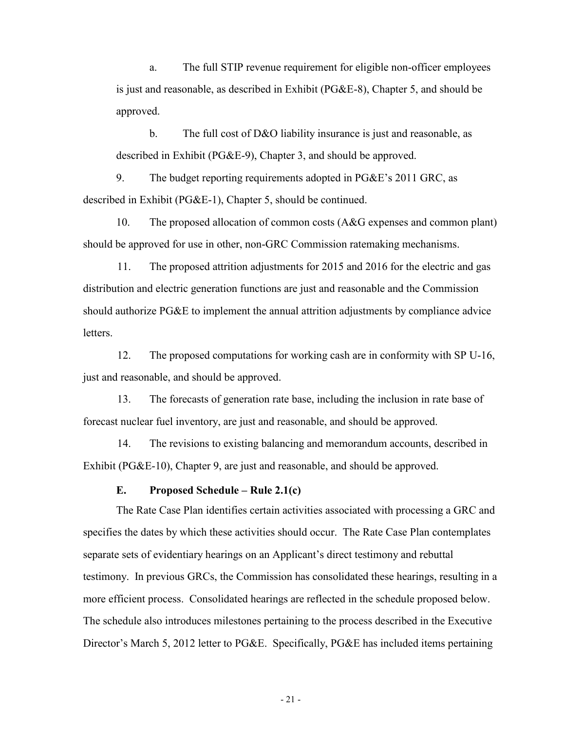a. The full STIP revenue requirement for eligible non-officer employees is just and reasonable, as described in Exhibit (PG&E-8), Chapter 5, and should be approved.

b. The full cost of D&O liability insurance is just and reasonable, as described in Exhibit (PG&E-9), Chapter 3, and should be approved.

9. The budget reporting requirements adopted in PG&E's 2011 GRC, as described in Exhibit (PG&E-1), Chapter 5, should be continued.

10. The proposed allocation of common costs (A&G expenses and common plant) should be approved for use in other, non-GRC Commission ratemaking mechanisms.

11. The proposed attrition adjustments for 2015 and 2016 for the electric and gas distribution and electric generation functions are just and reasonable and the Commission should authorize PG&E to implement the annual attrition adjustments by compliance advice letters.

12. The proposed computations for working cash are in conformity with SP U-16, just and reasonable, and should be approved.

13. The forecasts of generation rate base, including the inclusion in rate base of forecast nuclear fuel inventory, are just and reasonable, and should be approved.

14. The revisions to existing balancing and memorandum accounts, described in Exhibit (PG&E-10), Chapter 9, are just and reasonable, and should be approved.

#### **E. Proposed Schedule – Rule 2.1(c)**

The Rate Case Plan identifies certain activities associated with processing a GRC and specifies the dates by which these activities should occur. The Rate Case Plan contemplates separate sets of evidentiary hearings on an Applicant's direct testimony and rebuttal testimony. In previous GRCs, the Commission has consolidated these hearings, resulting in a more efficient process. Consolidated hearings are reflected in the schedule proposed below. The schedule also introduces milestones pertaining to the process described in the Executive Director's March 5, 2012 letter to PG&E. Specifically, PG&E has included items pertaining

- 21 -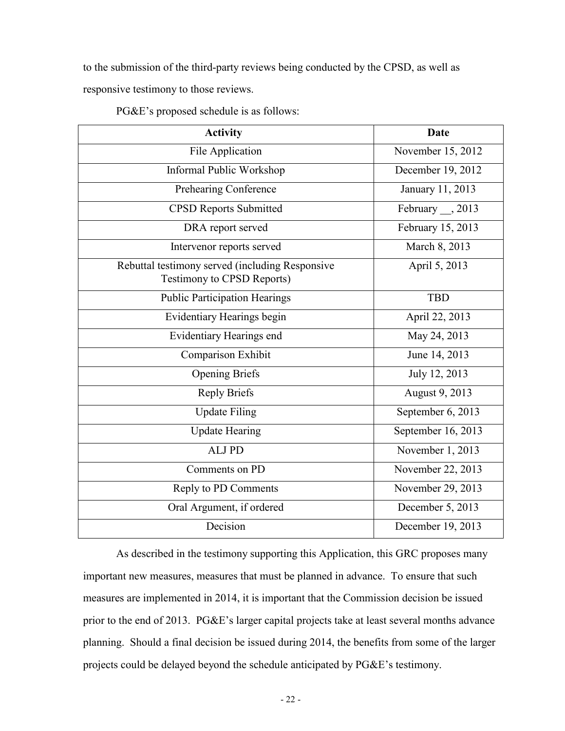to the submission of the third-party reviews being conducted by the CPSD, as well as responsive testimony to those reviews.

| <b>Activity</b>                                                                      | <b>Date</b>            |  |
|--------------------------------------------------------------------------------------|------------------------|--|
| File Application                                                                     | November 15, 2012      |  |
| Informal Public Workshop                                                             | December 19, 2012      |  |
| Prehearing Conference                                                                | January 11, 2013       |  |
| <b>CPSD Reports Submitted</b>                                                        | February $\_\_$ , 2013 |  |
| DRA report served                                                                    | February 15, 2013      |  |
| Intervenor reports served                                                            | March 8, 2013          |  |
| Rebuttal testimony served (including Responsive<br><b>Testimony to CPSD Reports)</b> | April 5, 2013          |  |
| <b>Public Participation Hearings</b>                                                 | <b>TBD</b>             |  |
| Evidentiary Hearings begin                                                           | April 22, 2013         |  |
| Evidentiary Hearings end                                                             | May 24, 2013           |  |
| Comparison Exhibit                                                                   | June 14, 2013          |  |
| <b>Opening Briefs</b>                                                                | July 12, 2013          |  |
| <b>Reply Briefs</b>                                                                  | August 9, 2013         |  |
| <b>Update Filing</b>                                                                 | September 6, 2013      |  |
| <b>Update Hearing</b>                                                                | September 16, 2013     |  |
| ALJ PD                                                                               | November 1, 2013       |  |
| Comments on PD                                                                       | November 22, 2013      |  |
| Reply to PD Comments                                                                 | November 29, 2013      |  |
| Oral Argument, if ordered                                                            | December 5, 2013       |  |
| Decision                                                                             | December 19, 2013      |  |

PG&E's proposed schedule is as follows:

As described in the testimony supporting this Application, this GRC proposes many important new measures, measures that must be planned in advance. To ensure that such measures are implemented in 2014, it is important that the Commission decision be issued prior to the end of 2013. PG&E's larger capital projects take at least several months advance planning. Should a final decision be issued during 2014, the benefits from some of the larger projects could be delayed beyond the schedule anticipated by PG&E's testimony.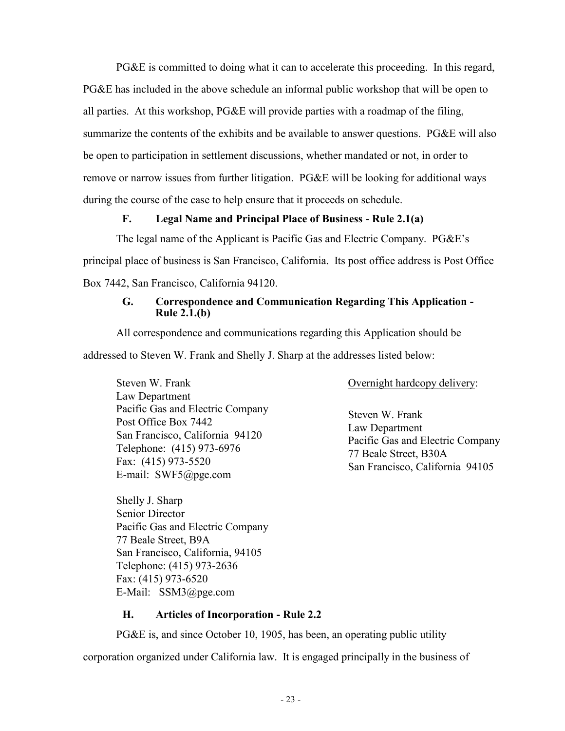PG&E is committed to doing what it can to accelerate this proceeding. In this regard, PG&E has included in the above schedule an informal public workshop that will be open to all parties. At this workshop, PG&E will provide parties with a roadmap of the filing, summarize the contents of the exhibits and be available to answer questions. PG&E will also be open to participation in settlement discussions, whether mandated or not, in order to remove or narrow issues from further litigation. PG&E will be looking for additional ways during the course of the case to help ensure that it proceeds on schedule.

### **F. Legal Name and Principal Place of Business - Rule 2.1(a)**

The legal name of the Applicant is Pacific Gas and Electric Company. PG&E's principal place of business is San Francisco, California. Its post office address is Post Office Box 7442, San Francisco, California 94120.

#### **G. Correspondence and Communication Regarding This Application - Rule 2.1.(b)**

All correspondence and communications regarding this Application should be addressed to Steven W. Frank and Shelly J. Sharp at the addresses listed below:

Steven W. Frank Law Department Pacific Gas and Electric Company Post Office Box 7442 San Francisco, California 94120 Telephone: (415) 973-6976 Fax: (415) 973-5520 E-mail: SWF5@pge.com

Shelly J. Sharp Senior Director Pacific Gas and Electric Company 77 Beale Street, B9A San Francisco, California, 94105 Telephone: (415) 973-2636 Fax: (415) 973-6520 E-Mail: SSM3@pge.com

Overnight hardcopy delivery:

Steven W. Frank Law Department Pacific Gas and Electric Company 77 Beale Street, B30A San Francisco, California 94105

#### **H. Articles of Incorporation - Rule 2.2**

PG&E is, and since October 10, 1905, has been, an operating public utility corporation organized under California law. It is engaged principally in the business of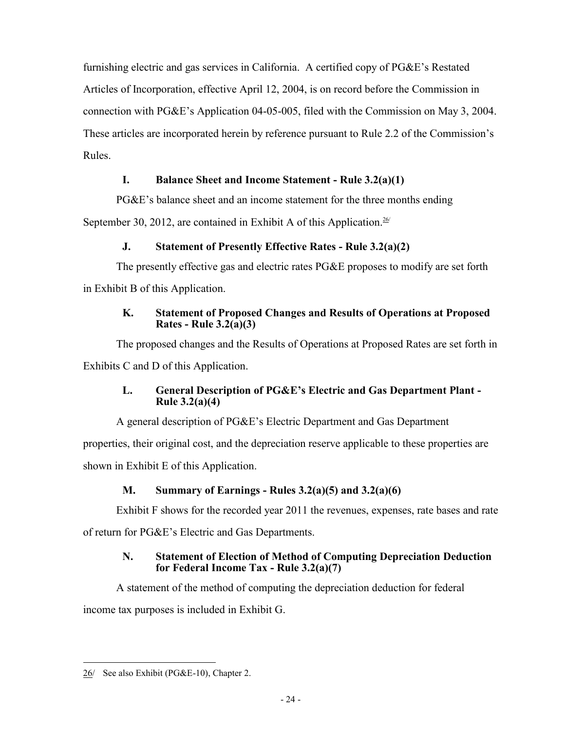furnishing electric and gas services in California. A certified copy of PG&E's Restated Articles of Incorporation, effective April 12, 2004, is on record before the Commission in connection with PG&E's Application 04-05-005, filed with the Commission on May 3, 2004. These articles are incorporated herein by reference pursuant to Rule 2.2 of the Commission's Rules.

### **I. Balance Sheet and Income Statement - Rule 3.2(a)(1)**

PG&E's balance sheet and an income statement for the three months ending

September 30, 2012, are contained in Exhibit A of this Application.<sup>26/</sup>

### **J. Statement of Presently Effective Rates - Rule 3.2(a)(2)**

The presently effective gas and electric rates PG&E proposes to modify are set forth in Exhibit B of this Application.

### **K. Statement of Proposed Changes and Results of Operations at Proposed Rates - Rule 3.2(a)(3)**

The proposed changes and the Results of Operations at Proposed Rates are set forth in Exhibits C and D of this Application.

### **L. General Description of PG&E's Electric and Gas Department Plant - Rule 3.2(a)(4)**

A general description of PG&E's Electric Department and Gas Department

properties, their original cost, and the depreciation reserve applicable to these properties are shown in Exhibit E of this Application.

## **M. Summary of Earnings - Rules 3.2(a)(5) and 3.2(a)(6)**

Exhibit F shows for the recorded year 2011 the revenues, expenses, rate bases and rate

of return for PG&E's Electric and Gas Departments.

### **N. Statement of Election of Method of Computing Depreciation Deduction for Federal Income Tax - Rule 3.2(a)(7)**

A statement of the method of computing the depreciation deduction for federal income tax purposes is included in Exhibit G.

<sup>26/</sup> See also Exhibit (PG&E-10), Chapter 2.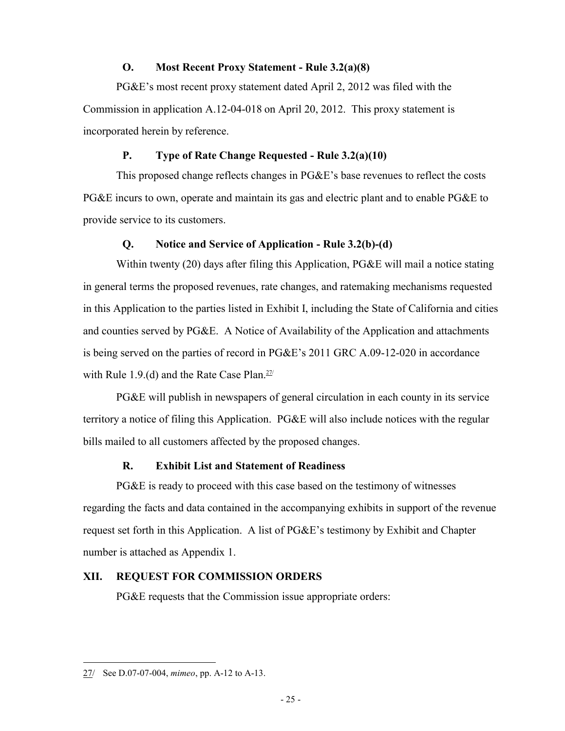#### **O. Most Recent Proxy Statement - Rule 3.2(a)(8)**

PG&E's most recent proxy statement dated April 2, 2012 was filed with the Commission in application A.12-04-018 on April 20, 2012. This proxy statement is incorporated herein by reference.

### **P. Type of Rate Change Requested - Rule 3.2(a)(10)**

This proposed change reflects changes in PG&E's base revenues to reflect the costs PG&E incurs to own, operate and maintain its gas and electric plant and to enable PG&E to provide service to its customers.

#### **Q. Notice and Service of Application - Rule 3.2(b)-(d)**

Within twenty (20) days after filing this Application, PG&E will mail a notice stating in general terms the proposed revenues, rate changes, and ratemaking mechanisms requested in this Application to the parties listed in Exhibit I, including the State of California and cities and counties served by PG&E. A Notice of Availability of the Application and attachments is being served on the parties of record in PG&E's 2011 GRC A.09-12-020 in accordance with Rule 1.9.(d) and the Rate Case Plan. $27/2$ 

PG&E will publish in newspapers of general circulation in each county in its service territory a notice of filing this Application. PG&E will also include notices with the regular bills mailed to all customers affected by the proposed changes.

#### **R. Exhibit List and Statement of Readiness**

PG&E is ready to proceed with this case based on the testimony of witnesses regarding the facts and data contained in the accompanying exhibits in support of the revenue request set forth in this Application. A list of PG&E's testimony by Exhibit and Chapter number is attached as Appendix 1.

#### **XII. REQUEST FOR COMMISSION ORDERS**

PG&E requests that the Commission issue appropriate orders:

<sup>27/</sup> See D.07-07-004, *mimeo*, pp. A-12 to A-13.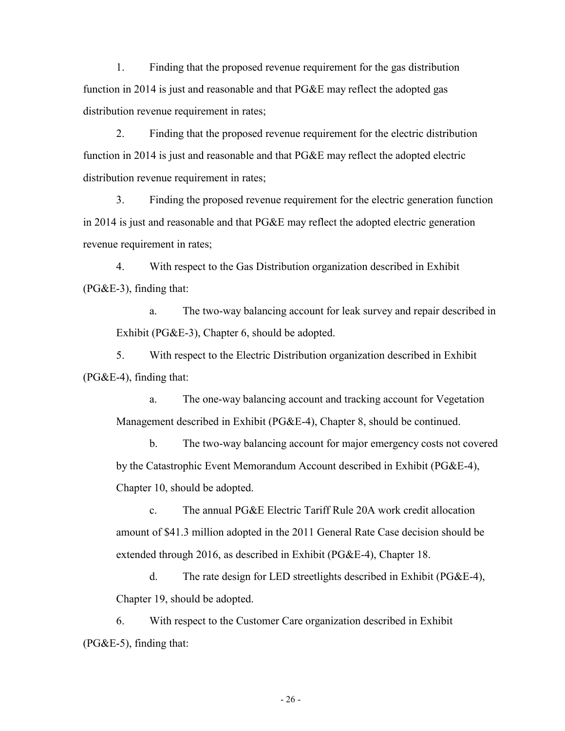1. Finding that the proposed revenue requirement for the gas distribution function in 2014 is just and reasonable and that PG&E may reflect the adopted gas distribution revenue requirement in rates;

2. Finding that the proposed revenue requirement for the electric distribution function in 2014 is just and reasonable and that PG&E may reflect the adopted electric distribution revenue requirement in rates;

3. Finding the proposed revenue requirement for the electric generation function in 2014 is just and reasonable and that PG&E may reflect the adopted electric generation revenue requirement in rates;

4. With respect to the Gas Distribution organization described in Exhibit (PG&E-3), finding that:

a. The two-way balancing account for leak survey and repair described in Exhibit (PG&E-3), Chapter 6, should be adopted.

5. With respect to the Electric Distribution organization described in Exhibit (PG&E-4), finding that:

a. The one-way balancing account and tracking account for Vegetation Management described in Exhibit (PG&E-4), Chapter 8, should be continued.

b. The two-way balancing account for major emergency costs not covered by the Catastrophic Event Memorandum Account described in Exhibit (PG&E-4), Chapter 10, should be adopted.

c. The annual PG&E Electric Tariff Rule 20A work credit allocation amount of \$41.3 million adopted in the 2011 General Rate Case decision should be extended through 2016, as described in Exhibit (PG&E-4), Chapter 18.

d. The rate design for LED streetlights described in Exhibit (PG&E-4), Chapter 19, should be adopted.

6. With respect to the Customer Care organization described in Exhibit  $(PG&E-5)$ , finding that:

- 26 -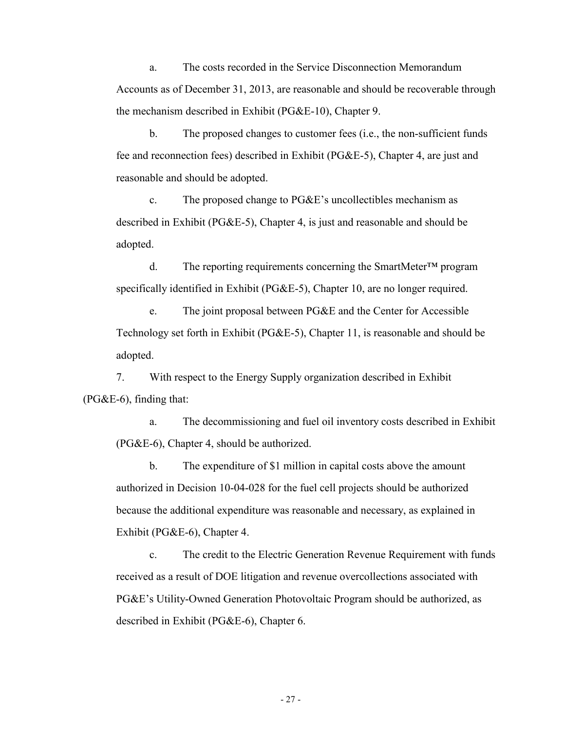a. The costs recorded in the Service Disconnection Memorandum Accounts as of December 31, 2013, are reasonable and should be recoverable through the mechanism described in Exhibit (PG&E-10), Chapter 9.

b. The proposed changes to customer fees (i.e., the non-sufficient funds fee and reconnection fees) described in Exhibit (PG&E-5), Chapter 4, are just and reasonable and should be adopted.

c. The proposed change to PG&E's uncollectibles mechanism as described in Exhibit (PG&E-5), Chapter 4, is just and reasonable and should be adopted.

d. The reporting requirements concerning the SmartMeter™ program specifically identified in Exhibit (PG&E-5), Chapter 10, are no longer required.

e. The joint proposal between PG&E and the Center for Accessible Technology set forth in Exhibit (PG&E-5), Chapter 11, is reasonable and should be adopted.

7. With respect to the Energy Supply organization described in Exhibit  $(PG&E-6)$ , finding that:

a. The decommissioning and fuel oil inventory costs described in Exhibit (PG&E-6), Chapter 4, should be authorized.

b. The expenditure of \$1 million in capital costs above the amount authorized in Decision 10-04-028 for the fuel cell projects should be authorized because the additional expenditure was reasonable and necessary, as explained in Exhibit (PG&E-6), Chapter 4.

c. The credit to the Electric Generation Revenue Requirement with funds received as a result of DOE litigation and revenue overcollections associated with PG&E's Utility-Owned Generation Photovoltaic Program should be authorized, as described in Exhibit (PG&E-6), Chapter 6.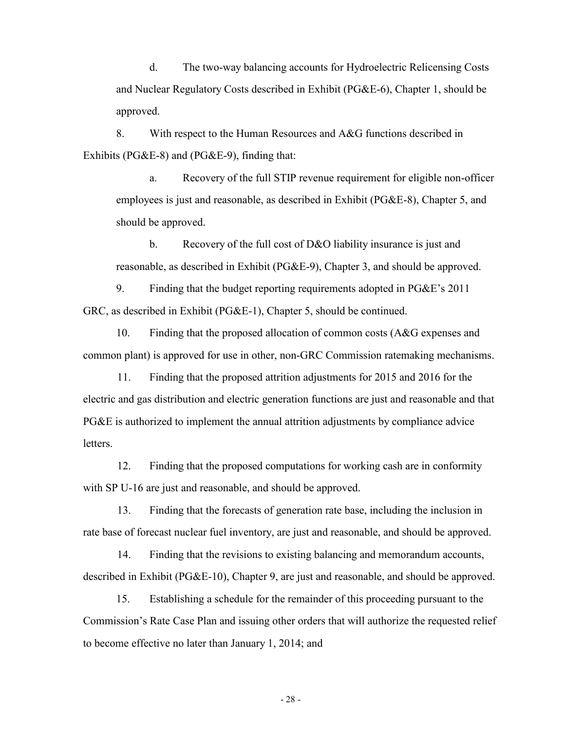d. The two-way balancing accounts for Hydroelectric Relicensing Costs and Nuclear Regulatory Costs described in Exhibit (PG&E-6), Chapter 1, should be approved.

8. With respect to the Human Resources and A&G functions described in Exhibits (PG&E-8) and (PG&E-9), finding that:

a. Recovery of the full STIP revenue requirement for eligible non-officer employees is just and reasonable, as described in Exhibit (PG&E-8), Chapter 5, and should be approved.

b. Recovery of the full cost of D&O liability insurance is just and reasonable, as described in Exhibit (PG&E-9), Chapter 3, and should be approved.

9. Finding that the budget reporting requirements adopted in PG&E's 2011 GRC, as described in Exhibit (PG&E-1), Chapter 5, should be continued.

10. Finding that the proposed allocation of common costs (A&G expenses and common plant) is approved for use in other, non-GRC Commission ratemaking mechanisms.

11. Finding that the proposed attrition adjustments for 2015 and 2016 for the electric and gas distribution and electric generation functions are just and reasonable and that PG&E is authorized to implement the annual attrition adjustments by compliance advice **letters** 

12. Finding that the proposed computations for working cash are in conformity with SP U-16 are just and reasonable, and should be approved.

13. Finding that the forecasts of generation rate base, including the inclusion in rate base of forecast nuclear fuel inventory, are just and reasonable, and should be approved.

14. Finding that the revisions to existing balancing and memorandum accounts, described in Exhibit (PG&E-10), Chapter 9, are just and reasonable, and should be approved.

15. Establishing a schedule for the remainder of this proceeding pursuant to the Commission's Rate Case Plan and issuing other orders that will authorize the requested relief to become effective no later than January 1, 2014; and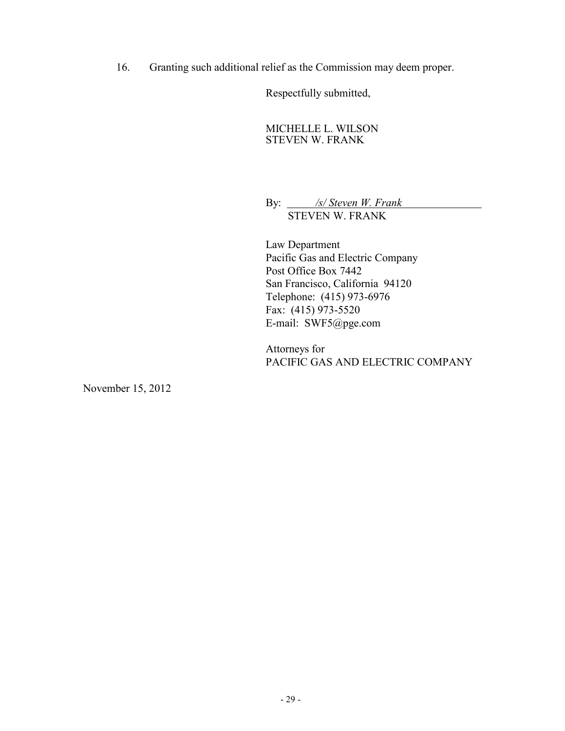16. Granting such additional relief as the Commission may deem proper.

Respectfully submitted,

MICHELLE L. WILSON STEVEN W. FRANK

By: */s/ Steven W. Frank* STEVEN W. FRANK

Law Department Pacific Gas and Electric Company Post Office Box 7442 San Francisco, California 94120 Telephone: (415) 973-6976 Fax: (415) 973-5520 E-mail: SWF5@pge.com

Attorneys for PACIFIC GAS AND ELECTRIC COMPANY

November 15, 2012